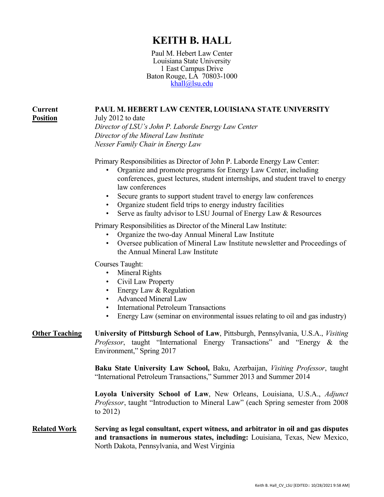# **KEITH B. HALL**

Paul M. Hebert Law Center Louisiana State University 1 East Campus Drive Baton Rouge, LA 70803-1000 [khall@lsu.edu](mailto:khall@lsu.edu)

# **PAUL M. HEBERT LAW CENTER, LOUISIANA STATE UNIVERSITY**

July 2012 to date *Director of LSU's John P. Laborde Energy Law Center Director of the Mineral Law Institute Nesser Family Chair in Energy Law*

Primary Responsibilities as Director of John P. Laborde Energy Law Center:

- Organize and promote programs for Energy Law Center, including conferences, guest lectures, student internships, and student travel to energy law conferences
- Secure grants to support student travel to energy law conferences
- Organize student field trips to energy industry facilities
- Serve as faulty advisor to LSU Journal of Energy Law & Resources

Primary Responsibilities as Director of the Mineral Law Institute:

- Organize the two-day Annual Mineral Law Institute
- Oversee publication of Mineral Law Institute newsletter and Proceedings of the Annual Mineral Law Institute

Courses Taught:

**Current Position**

- Mineral Rights
- Civil Law Property
- Energy Law & Regulation
- Advanced Mineral Law
- International Petroleum Transactions
- Energy Law (seminar on environmental issues relating to oil and gas industry)

**Other Teaching University of Pittsburgh School of Law**, Pittsburgh, Pennsylvania, U.S.A., *Visiting Professor*, taught "International Energy Transactions" and "Energy & the Environment," Spring 2017

> **Baku State University Law School,** Baku, Azerbaijan, *Visiting Professor*, taught "International Petroleum Transactions," Summer 2013 and Summer 2014

> **Loyola University School of Law**, New Orleans, Louisiana, U.S.A., *Adjunct Professor*, taught "Introduction to Mineral Law" (each Spring semester from 2008 to 2012)

**Related Work Serving as legal consultant, expert witness, and arbitrator in oil and gas disputes and transactions in numerous states, including:** Louisiana, Texas, New Mexico, North Dakota, Pennsylvania, and West Virginia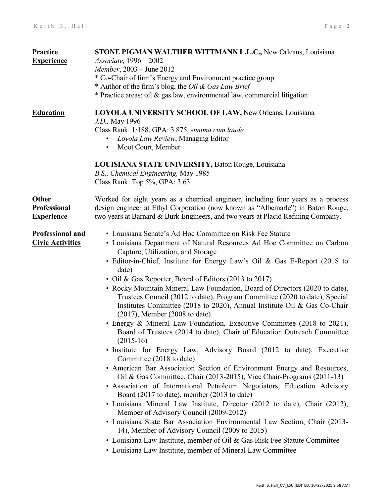| <b>Practice</b>         | STONE PIGMAN WALTHER WITTMANN L.L.C., New Orleans, Louisiana                     |
|-------------------------|----------------------------------------------------------------------------------|
| <b>Experience</b>       | <i>Associate</i> , 1996 – 2002                                                   |
|                         | Member, 2003 - June 2012                                                         |
|                         | * Co-Chair of firm's Energy and Environment practice group                       |
|                         | * Author of the firm's blog, the <i>Oil &amp; Gas Law Brief</i>                  |
|                         | * Practice areas: oil & gas law, environmental law, commercial litigation        |
|                         |                                                                                  |
| <b>Education</b>        | LOYOLA UNIVERSITY SCHOOL OF LAW, New Orleans, Louisiana                          |
|                         | <i>J.D.</i> , May 1996                                                           |
|                         | Class Rank: 1/188, GPA: 3.875, summa cum laude                                   |
|                         | Loyola Law Review, Managing Editor<br>$\bullet$                                  |
|                         | Moot Court, Member<br>$\bullet$                                                  |
|                         |                                                                                  |
|                         | LOUISIANA STATE UNIVERSITY, Baton Rouge, Louisiana                               |
|                         | B.S., Chemical Engineering, May 1985                                             |
|                         |                                                                                  |
|                         | Class Rank: Top $5\%$ , GPA: $3.63$                                              |
|                         |                                                                                  |
| <b>Other</b>            | Worked for eight years as a chemical engineer, including four years as a process |
| <b>Professional</b>     | design engineer at Ethyl Corporation (now known as "Albemarle") in Baton Rouge,  |
| <b>Experience</b>       | two years at Barnard & Burk Engineers, and two years at Placid Refining Company. |
|                         |                                                                                  |
| <b>Professional and</b> | • Louisiana Senate's Ad Hoc Committee on Risk Fee Statute                        |
| <b>Civic Activities</b> | • Louisiana Department of Natural Resources Ad Hoc Committee on Carbon           |
|                         | Capture, Utilization, and Storage                                                |
|                         | • Editor-in-Chief, Institute for Energy Law's Oil & Gas E-Report (2018 to        |
|                         | date)                                                                            |
|                         | • Oil & Gas Reporter, Board of Editors (2013 to 2017)                            |
|                         | • Rocky Mountain Mineral Law Foundation, Board of Directors (2020 to date),      |
|                         | Trustees Council (2012 to date), Program Committee (2020 to date), Special       |
|                         | Institutes Committee (2018 to 2020), Annual Institute Oil & Gas Co-Chair         |
|                         | $(2017)$ , Member $(2008$ to date)                                               |
|                         | • Energy & Mineral Law Foundation, Executive Committee (2018 to 2021),           |
|                         | Board of Trustees (2014 to date), Chair of Education Outreach Committee          |
|                         | $(2015-16)$                                                                      |
|                         | • Institute for Energy Law, Advisory Board (2012 to date), Executive             |
|                         |                                                                                  |
|                         | Committee (2018 to date)                                                         |
|                         | • American Bar Association Section of Environment Energy and Resources,          |
|                         | Oil & Gas Committee, Chair (2013-2015), Vice Chair-Programs (2011-13)            |
|                         | · Association of International Petroleum Negotiators, Education Advisory         |
|                         | Board (2017 to date), member (2013 to date)                                      |
|                         | · Louisiana Mineral Law Institute, Director (2012 to date), Chair (2012),        |
|                         | Member of Advisory Council (2009-2012)                                           |
|                         | • Louisiana State Bar Association Environmental Law Section, Chair (2013-        |
|                         | 14), Member of Advisory Council (2009 to 2015)                                   |
|                         | • Louisiana Law Institute, member of Oil & Gas Risk Fee Statute Committee        |
|                         | • Louisiana Law Institute, member of Mineral Law Committee                       |
|                         |                                                                                  |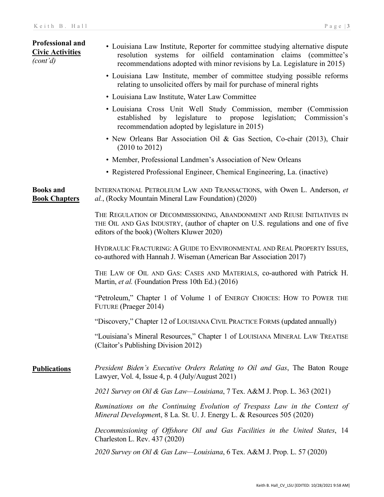| <b>Professional and</b><br><b>Civic Activities</b><br>(cont'd) | • Louisiana Law Institute, Reporter for committee studying alternative dispute<br>resolution systems for oilfield contamination claims (committee's<br>recommendations adopted with minor revisions by La. Legislature in 2015) |
|----------------------------------------------------------------|---------------------------------------------------------------------------------------------------------------------------------------------------------------------------------------------------------------------------------|
|                                                                | • Louisiana Law Institute, member of committee studying possible reforms<br>relating to unsolicited offers by mail for purchase of mineral rights                                                                               |
|                                                                | • Louisiana Law Institute, Water Law Committee                                                                                                                                                                                  |
|                                                                | • Louisiana Cross Unit Well Study Commission, member (Commission<br>established by legislature to propose legislation;<br>Commission's<br>recommendation adopted by legislature in 2015)                                        |
|                                                                | • New Orleans Bar Association Oil & Gas Section, Co-chair (2013), Chair<br>$(2010 \text{ to } 2012)$                                                                                                                            |
|                                                                | • Member, Professional Landmen's Association of New Orleans                                                                                                                                                                     |
|                                                                | • Registered Professional Engineer, Chemical Engineering, La. (inactive)                                                                                                                                                        |
| <b>Books</b> and<br><b>Book Chapters</b>                       | INTERNATIONAL PETROLEUM LAW AND TRANSACTIONS, with Owen L. Anderson, et<br>al., (Rocky Mountain Mineral Law Foundation) (2020)                                                                                                  |
|                                                                | THE REGULATION OF DECOMMISSIONING, ABANDONMENT AND REUSE INITIATIVES IN<br>THE OIL AND GAS INDUSTRY, (author of chapter on U.S. regulations and one of five<br>editors of the book) (Wolters Kluwer 2020)                       |
|                                                                | HYDRAULIC FRACTURING: A GUIDE TO ENVIRONMENTAL AND REAL PROPERTY ISSUES,<br>co-authored with Hannah J. Wiseman (American Bar Association 2017)                                                                                  |
|                                                                | THE LAW OF OIL AND GAS: CASES AND MATERIALS, co-authored with Patrick H.<br>Martin, et al. (Foundation Press 10th Ed.) (2016)                                                                                                   |
|                                                                | "Petroleum," Chapter 1 of Volume 1 of ENERGY CHOICES: HOW TO POWER THE<br>FUTURE (Praeger 2014)                                                                                                                                 |
|                                                                | "Discovery," Chapter 12 of LOUISIANA CIVIL PRACTICE FORMS (updated annually)                                                                                                                                                    |
|                                                                | "Louisiana's Mineral Resources," Chapter 1 of LOUISIANA MINERAL LAW TREATISE<br>(Claitor's Publishing Division 2012)                                                                                                            |
| <b>Publications</b>                                            | President Biden's Executive Orders Relating to Oil and Gas, The Baton Rouge<br>Lawyer, Vol. 4, Issue 4, p. 4 (July/August 2021)                                                                                                 |
|                                                                | 2021 Survey on Oil & Gas Law—Louisiana, 7 Tex. A&M J. Prop. L. 363 (2021)                                                                                                                                                       |
|                                                                | Ruminations on the Continuing Evolution of Trespass Law in the Context of<br>Mineral Development, 8 La. St. U. J. Energy L. & Resources 505 (2020)                                                                              |
|                                                                | Decommissioning of Offshore Oil and Gas Facilities in the United States, 14<br>Charleston L. Rev. 437 (2020)                                                                                                                    |
|                                                                | 2020 Survey on Oil & Gas Law—Louisiana, 6 Tex. A&M J. Prop. L. 57 (2020)                                                                                                                                                        |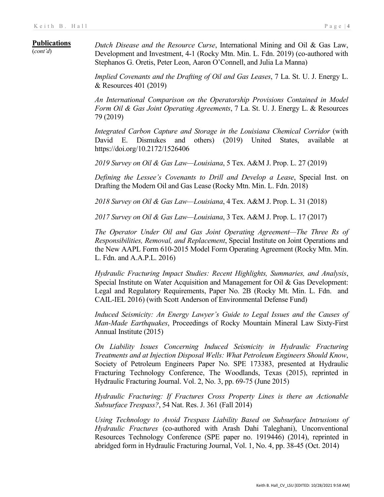### **Publications**

(*cont'd*)

*Dutch Disease and the Resource Curse*, International Mining and Oil & Gas Law, Development and Investment, 4-1 (Rocky Mtn. Min. L. Fdn. 2019) (co-authored with Stephanos G. Oretis, Peter Leon, Aaron O'Connell, and Julia La Manna)

*Implied Covenants and the Drafting of Oil and Gas Leases*, 7 La. St. U. J. Energy L. & Resources 401 (2019)

*An International Comparison on the Operatorship Provisions Contained in Model Form Oil & Gas Joint Operating Agreements*, 7 La. St. U. J. Energy L. & Resources 79 (2019)

*Integrated Carbon Capture and Storage in the Louisiana Chemical Corridor* (with David E. Dismukes and others) (2019) United States, available at https://doi.org/10.2172/1526406

*2019 Survey on Oil & Gas Law—Louisiana*, 5 Tex. A&M J. Prop. L. 27 (2019)

*Defining the Lessee's Covenants to Drill and Develop a Lease*, Special Inst. on Drafting the Modern Oil and Gas Lease (Rocky Mtn. Min. L. Fdn. 2018)

*2018 Survey on Oil & Gas Law—Louisiana*, 4 Tex. A&M J. Prop. L. 31 (2018)

*2017 Survey on Oil & Gas Law—Louisiana*, 3 Tex. A&M J. Prop. L. 17 (2017)

*The Operator Under Oil and Gas Joint Operating Agreement—The Three Rs of Responsibilities, Removal, and Replacement*, Special Institute on Joint Operations and the New AAPL Form 610-2015 Model Form Operating Agreement (Rocky Mtn. Min. L. Fdn. and A.A.P.L. 2016)

*Hydraulic Fracturing Impact Studies: Recent Highlights, Summaries, and Analysis*, Special Institute on Water Acquisition and Management for Oil & Gas Development: Legal and Regulatory Requirements, Paper No. 2B (Rocky Mt. Min. L. Fdn. and CAIL-IEL 2016) (with Scott Anderson of Environmental Defense Fund)

*Induced Seismicity: An Energy Lawyer's Guide to Legal Issues and the Causes of Man-Made Earthquakes*, Proceedings of Rocky Mountain Mineral Law Sixty-First Annual Institute (2015)

*On Liability Issues Concerning Induced Seismicity in Hydraulic Fracturing Treatments and at Injection Disposal Wells: What Petroleum Engineers Should Know*, Society of Petroleum Engineers Paper No. SPE 173383, presented at Hydraulic Fracturing Technology Conference, The Woodlands, Texas (2015), reprinted in Hydraulic Fracturing Journal. Vol. 2, No. 3, pp. 69-75 (June 2015)

*Hydraulic Fracturing: If Fractures Cross Property Lines is there an Actionable Subsurface Trespass?*, 54 Nat. Res. J. 361 (Fall 2014)

*Using Technology to Avoid Trespass Liability Based on Subsurface Intrusions of Hydraulic Fractures* (co-authored with Arash Dahi Taleghani), Unconventional Resources Technology Conference (SPE paper no. 1919446) (2014), reprinted in abridged form in Hydraulic Fracturing Journal, Vol. 1, No. 4, pp. 38-45 (Oct. 2014)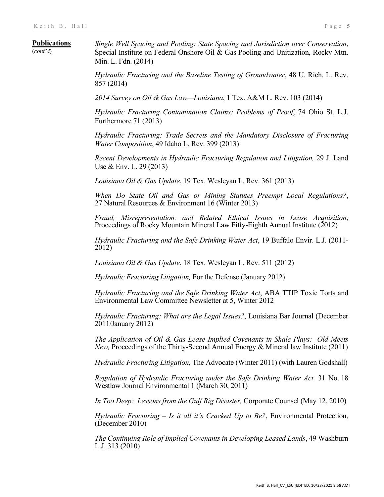#### **Publications**

(*cont'd*)

*Single Well Spacing and Pooling: State Spacing and Jurisdiction over Conservation*, Special Institute on Federal Onshore Oil & Gas Pooling and Unitization, Rocky Mtn. Min. L. Fdn. (2014)

*Hydraulic Fracturing and the Baseline Testing of Groundwater*, 48 U. Rich. L. Rev. 857 (2014)

*2014 Survey on Oil & Gas Law—Louisiana*, 1 Tex. A&M L. Rev. 103 (2014)

*Hydraulic Fracturing Contamination Claims: Problems of Proof*, 74 Ohio St. L.J. Furthermore 71 (2013)

*Hydraulic Fracturing: Trade Secrets and the Mandatory Disclosure of Fracturing Water Composition*, 49 Idaho L. Rev. 399 (2013)

*Recent Developments in Hydraulic Fracturing Regulation and Litigation,* 29 J. Land Use & Env. L. 29 (2013)

*Louisiana Oil & Gas Update*, 19 Tex. Wesleyan L. Rev. 361 (2013)

*When Do State Oil and Gas or Mining Statutes Preempt Local Regulations?*, <sup>27</sup> Natural Resources & Environment 16 (Winter 2013)

*Fraud, Misrepresentation, and Related Ethical Issues in Lease Acquisition*, Proceedings of Rocky Mountain Mineral Law Fifty-Eighth Annual Institute (2012)

*Hydraulic Fracturing and the Safe Drinking Water Act*, 19 Buffalo Envir. L.J. (2011- 2012)

*Louisiana Oil & Gas Update*, 18 Tex. Wesleyan L. Rev. 511 (2012)

*Hydraulic Fracturing Litigation,* For the Defense (January 2012)

*Hydraulic Fracturing and the Safe Drinking Water Act*, ABA TTIP Toxic Torts and Environmental Law Committee Newsletter at 5, Winter 2012

*Hydraulic Fracturing: What are the Legal Issues?*, Louisiana Bar Journal (December 2011/January 2012)

*The Application of Oil & Gas Lease Implied Covenants in Shale Plays: Old Meets New,* Proceedings of the Thirty-Second Annual Energy & Mineral law Institute (2011)

*Hydraulic Fracturing Litigation,* The Advocate (Winter 2011) (with Lauren Godshall)

*Regulation of Hydraulic Fracturing under the Safe Drinking Water Act,* 31 No. 18 Westlaw Journal Environmental 1 (March 30, 2011)

*In Too Deep: Lessons from the Gulf Rig Disaster,* Corporate Counsel (May 12, 2010)

*Hydraulic Fracturing – Is it all it's Cracked Up to Be?*, Environmental Protection, (December 2010)

*The Continuing Role of Implied Covenants in Developing Leased Lands*, 49 Washburn L.J. 313 (2010)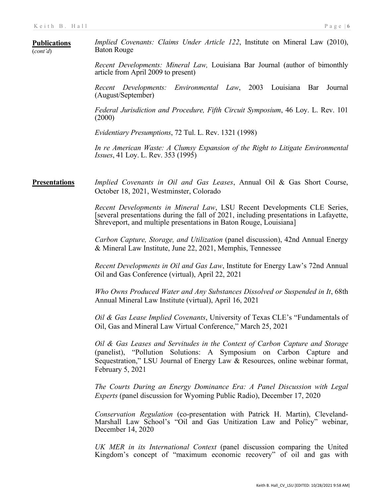| <b>Publications</b><br>(cont'd) | <i>Implied Covenants: Claims Under Article 122</i> , Institute on Mineral Law (2010),<br><b>Baton Rouge</b>                                                                                                                                              |
|---------------------------------|----------------------------------------------------------------------------------------------------------------------------------------------------------------------------------------------------------------------------------------------------------|
|                                 | Recent Developments: Mineral Law, Louisiana Bar Journal (author of bimonthly<br>article from April 2009 to present)                                                                                                                                      |
|                                 | Recent Developments: Environmental Law, 2003 Louisiana Bar<br>Journal<br>(August/September)                                                                                                                                                              |
|                                 | Federal Jurisdiction and Procedure, Fifth Circuit Symposium, 46 Loy. L. Rev. 101<br>(2000)                                                                                                                                                               |
|                                 | <i>Evidentiary Presumptions, 72 Tul. L. Rev. 1321 (1998)</i>                                                                                                                                                                                             |
|                                 | In re American Waste: A Clumsy Expansion of the Right to Litigate Environmental<br><i>Issues</i> , 41 Loy. L. Rev. 353 (1995)                                                                                                                            |
| <b>Presentations</b>            | Implied Covenants in Oil and Gas Leases, Annual Oil & Gas Short Course,<br>October 18, 2021, Westminster, Colorado                                                                                                                                       |
|                                 | Recent Developments in Mineral Law, LSU Recent Developments CLE Series,<br>[several presentations during the fall of 2021, including presentations in Lafayette,<br>Shreveport, and multiple presentations in Baton Rouge, Louisiana]                    |
|                                 | Carbon Capture, Storage, and Utilization (panel discussion), 42nd Annual Energy<br>& Mineral Law Institute, June 22, 2021, Memphis, Tennessee                                                                                                            |
|                                 | Recent Developments in Oil and Gas Law, Institute for Energy Law's 72nd Annual<br>Oil and Gas Conference (virtual), April 22, 2021                                                                                                                       |
|                                 | Who Owns Produced Water and Any Substances Dissolved or Suspended in It, 68th<br>Annual Mineral Law Institute (virtual), April 16, 2021                                                                                                                  |
|                                 | Oil & Gas Lease Implied Covenants, University of Texas CLE's "Fundamentals of<br>Oil, Gas and Mineral Law Virtual Conference," March 25, 2021                                                                                                            |
|                                 | Oil & Gas Leases and Servitudes in the Context of Carbon Capture and Storage<br>(panelist), "Pollution Solutions: A Symposium on Carbon Capture and<br>Sequestration," LSU Journal of Energy Law & Resources, online webinar format,<br>February 5, 2021 |
|                                 | The Courts During an Energy Dominance Era: A Panel Discussion with Legal<br><i>Experts</i> (panel discussion for Wyoming Public Radio), December 17, 2020                                                                                                |
|                                 | Conservation Regulation (co-presentation with Patrick H. Martin), Cleveland-<br>Marshall Law School's "Oil and Gas Unitization Law and Policy" webinar,<br>December 14, 2020                                                                             |
|                                 | UK MER in its International Context (panel discussion comparing the United<br>Kingdom's concept of "maximum economic recovery" of oil and gas with                                                                                                       |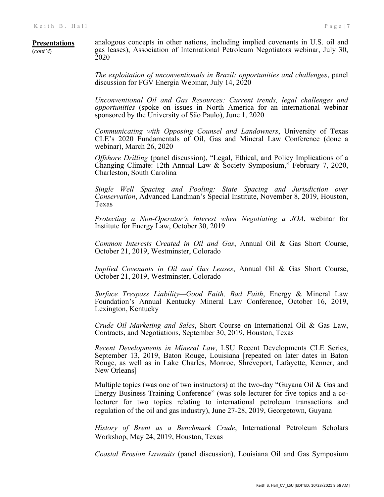#### **Presentations** (*cont'd*) analogous concepts in other nations, including implied covenants in U.S. oil and gas leases), Association of International Petroleum Negotiators webinar, July 30, 2020

*The exploitation of unconventionals in Brazil: opportunities and challenges*, panel discussion for FGV Energia Webinar, July 14, 2020

*Unconventional Oil and Gas Resources: Current trends, legal challenges and opportunities* (spoke on issues in North America for an international webinar sponsored by the University of São Paulo), June 1, 2020

*Communicating with Opposing Counsel and Landowners*, University of Texas CLE's 2020 Fundamentals of Oil, Gas and Mineral Law Conference (done a webinar), March 26, 2020

*Offshore Drilling* (panel discussion), "Legal, Ethical, and Policy Implications of a Changing Climate: 12th Annual Law & Society Symposium," February 7, 2020, Charleston, South Carolina

*Single Well Spacing and Pooling: State Spacing and Jurisdiction over Conservation*, Advanced Landman's Special Institute, November 8, 2019, Houston, Texas

*Protecting a Non-Operator's Interest when Negotiating a JOA*, webinar for Institute for Energy Law, October 30, 2019

*Common Interests Created in Oil and Gas*, Annual Oil & Gas Short Course, October 21, 2019, Westminster, Colorado

*Implied Covenants in Oil and Gas Leases*, Annual Oil & Gas Short Course, October 21, 2019, Westminster, Colorado

*Surface Trespass Liability—Good Faith, Bad Faith*, Energy & Mineral Law Foundation's Annual Kentucky Mineral Law Conference, October 16, 2019, Lexington, Kentucky

*Crude Oil Marketing and Sales*, Short Course on International Oil & Gas Law, Contracts, and Negotiations, September 30, 2019, Houston, Texas

*Recent Developments in Mineral Law*, LSU Recent Developments CLE Series, September 13, 2019, Baton Rouge, Louisiana [repeated on later dates in Baton Rouge, as well as in Lake Charles, Monroe, Shreveport, Lafayette, Kenner, and New Orleans]

Multiple topics (was one of two instructors) at the two-day "Guyana Oil & Gas and Energy Business Training Conference" (was sole lecturer for five topics and a colecturer for two topics relating to international petroleum transactions and regulation of the oil and gas industry), June 27-28, 2019, Georgetown, Guyana

*History of Brent as a Benchmark Crude*, International Petroleum Scholars Workshop, May 24, 2019, Houston, Texas

*Coastal Erosion Lawsuits* (panel discussion), Louisiana Oil and Gas Symposium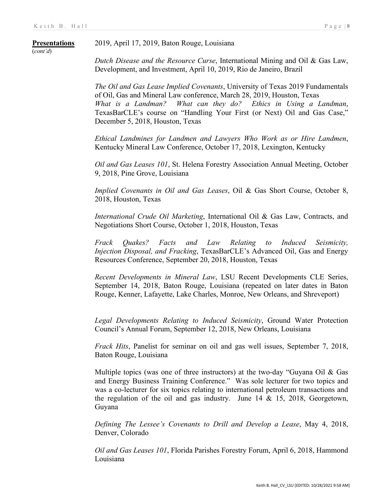(*cont'd*)

2019, April 17, 2019, Baton Rouge, Louisiana

*Dutch Disease and the Resource Curse*, International Mining and Oil & Gas Law,

Development, and Investment, April 10, 2019, Rio de Janeiro, Brazil *The Oil and Gas Lease Implied Covenants*, University of Texas 2019 Fundamentals of Oil, Gas and Mineral Law conference, March 28, 2019, Houston, Texas

*What is a Landman? What can they do? Ethics in Using a Landman*, TexasBarCLE's course on "Handling Your First (or Next) Oil and Gas Case," December 5, 2018, Houston, Texas

*Ethical Landmines for Landmen and Lawyers Who Work as or Hire Landmen*, Kentucky Mineral Law Conference, October 17, 2018, Lexington, Kentucky

*Oil and Gas Leases 101*, St. Helena Forestry Association Annual Meeting, October 9, 2018, Pine Grove, Louisiana

*Implied Covenants in Oil and Gas Leases*, Oil & Gas Short Course, October 8, 2018, Houston, Texas

*International Crude Oil Marketing*, International Oil & Gas Law, Contracts, and Negotiations Short Course, October 1, 2018, Houston, Texas

*Frack Quakes? Facts and Law Relating to Induced Seismicity, Injection Disposal, and Fracking*, TexasBarCLE's Advanced Oil, Gas and Energy Resources Conference, September 20, 2018, Houston, Texas

*Recent Developments in Mineral Law*, LSU Recent Developments CLE Series, September 14, 2018, Baton Rouge, Louisiana (repeated on later dates in Baton Rouge, Kenner, Lafayette, Lake Charles, Monroe, New Orleans, and Shreveport)

*Legal Developments Relating to Induced Seismicity*, Ground Water Protection Council's Annual Forum, September 12, 2018, New Orleans, Louisiana

*Frack Hits*, Panelist for seminar on oil and gas well issues, September 7, 2018, Baton Rouge, Louisiana

Multiple topics (was one of three instructors) at the two-day "Guyana Oil & Gas and Energy Business Training Conference." Was sole lecturer for two topics and was a co-lecturer for six topics relating to international petroleum transactions and the regulation of the oil and gas industry. June  $14 \& 15$ ,  $2018$ , Georgetown, Guyana

*Defining The Lessee's Covenants to Drill and Develop a Lease*, May 4, 2018, Denver, Colorado

*Oil and Gas Leases 101*, Florida Parishes Forestry Forum, April 6, 2018, Hammond Louisiana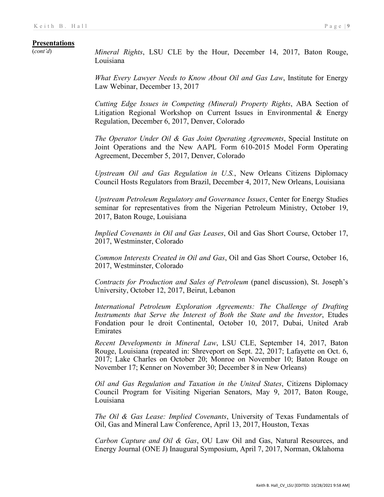(*cont'd*) *Mineral Rights*, LSU CLE by the Hour, December 14, 2017, Baton Rouge, Louisiana

> *What Every Lawyer Needs to Know About Oil and Gas Law*, Institute for Energy Law Webinar, December 13, 2017

> *Cutting Edge Issues in Competing (Mineral) Property Rights*, ABA Section of Litigation Regional Workshop on Current Issues in Environmental & Energy Regulation, December 6, 2017, Denver, Colorado

> *The Operator Under Oil & Gas Joint Operating Agreements*, Special Institute on Joint Operations and the New AAPL Form 610-2015 Model Form Operating Agreement, December 5, 2017, Denver, Colorado

> *Upstream Oil and Gas Regulation in U.S.*, New Orleans Citizens Diplomacy Council Hosts Regulators from Brazil, December 4, 2017, New Orleans, Louisiana

> *Upstream Petroleum Regulatory and Governance Issues*, Center for Energy Studies seminar for representatives from the Nigerian Petroleum Ministry, October 19, 2017, Baton Rouge, Louisiana

> *Implied Covenants in Oil and Gas Leases*, Oil and Gas Short Course, October 17, 2017, Westminster, Colorado

> *Common Interests Created in Oil and Gas*, Oil and Gas Short Course, October 16, 2017, Westminster, Colorado

> *Contracts for Production and Sales of Petroleum* (panel discussion), St. Joseph's University, October 12, 2017, Beirut, Lebanon

> *International Petroleum Exploration Agreements: The Challenge of Drafting Instruments that Serve the Interest of Both the State and the Investor*, Etudes Fondation pour le droit Continental, October 10, 2017, Dubai, United Arab Emirates

> *Recent Developments in Mineral Law*, LSU CLE, September 14, 2017, Baton Rouge, Louisiana (repeated in: Shreveport on Sept. 22, 2017; Lafayette on Oct. 6, 2017; Lake Charles on October 20; Monroe on November 10; Baton Rouge on November 17; Kenner on November 30; December 8 in New Orleans)

> *Oil and Gas Regulation and Taxation in the United States*, Citizens Diplomacy Council Program for Visiting Nigerian Senators, May 9, 2017, Baton Rouge, Louisiana

> *The Oil & Gas Lease: Implied Covenants*, University of Texas Fundamentals of Oil, Gas and Mineral Law Conference, April 13, 2017, Houston, Texas

> *Carbon Capture and Oil & Gas*, OU Law Oil and Gas, Natural Resources, and Energy Journal (ONE J) Inaugural Symposium, April 7, 2017, Norman, Oklahoma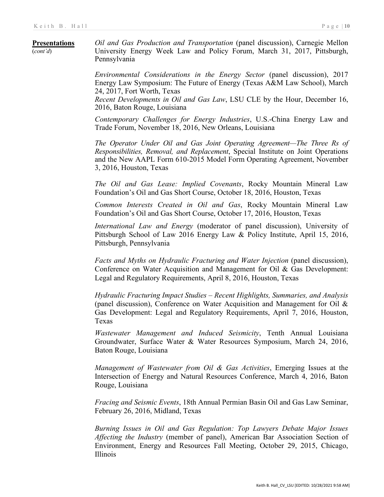(*cont'd*)

*Oil and Gas Production and Transportation* (panel discussion), Carnegie Mellon University Energy Week Law and Policy Forum, March 31, 2017, Pittsburgh, Pennsylvania

*Environmental Considerations in the Energy Sector* (panel discussion), 2017 Energy Law Symposium: The Future of Energy (Texas A&M Law School), March 24, 2017, Fort Worth, Texas

*Recent Developments in Oil and Gas Law*, LSU CLE by the Hour, December 16, 2016, Baton Rouge, Louisiana

*Contemporary Challenges for Energy Industries*, U.S.-China Energy Law and Trade Forum, November 18, 2016, New Orleans, Louisiana

*The Operator Under Oil and Gas Joint Operating Agreement—The Three Rs of Responsibilities, Removal, and Replacement*, Special Institute on Joint Operations and the New AAPL Form 610-2015 Model Form Operating Agreement, November 3, 2016, Houston, Texas

*The Oil and Gas Lease: Implied Covenants*, Rocky Mountain Mineral Law Foundation's Oil and Gas Short Course, October 18, 2016, Houston, Texas

*Common Interests Created in Oil and Gas*, Rocky Mountain Mineral Law Foundation's Oil and Gas Short Course, October 17, 2016, Houston, Texas

*International Law and Energy* (moderator of panel discussion), University of Pittsburgh School of Law 2016 Energy Law & Policy Institute, April 15, 2016, Pittsburgh, Pennsylvania

*Facts and Myths on Hydraulic Fracturing and Water Injection* (panel discussion), Conference on Water Acquisition and Management for Oil & Gas Development: Legal and Regulatory Requirements, April 8, 2016, Houston, Texas

*Hydraulic Fracturing Impact Studies – Recent Highlights, Summaries, and Analysis* (panel discussion), Conference on Water Acquisition and Management for Oil & Gas Development: Legal and Regulatory Requirements, April 7, 2016, Houston, Texas

*Wastewater Management and Induced Seismicity*, Tenth Annual Louisiana Groundwater, Surface Water & Water Resources Symposium, March 24, 2016, Baton Rouge, Louisiana

*Management of Wastewater from Oil & Gas Activities*, Emerging Issues at the Intersection of Energy and Natural Resources Conference, March 4, 2016, Baton Rouge, Louisiana

*Fracing and Seismic Events*, 18th Annual Permian Basin Oil and Gas Law Seminar, February 26, 2016, Midland, Texas

*Burning Issues in Oil and Gas Regulation: Top Lawyers Debate Major Issues Affecting the Industry* (member of panel), American Bar Association Section of Environment, Energy and Resources Fall Meeting, October 29, 2015, Chicago, Illinois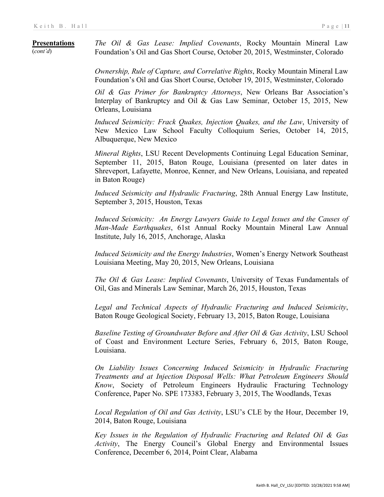**Presentations** (*cont'd*) *The Oil & Gas Lease: Implied Covenants*, Rocky Mountain Mineral Law Foundation's Oil and Gas Short Course, October 20, 2015, Westminster, Colorado

> *Ownership, Rule of Capture, and Correlative Rights*, Rocky Mountain Mineral Law Foundation's Oil and Gas Short Course, October 19, 2015, Westminster, Colorado

> *Oil & Gas Primer for Bankruptcy Attorneys*, New Orleans Bar Association's Interplay of Bankruptcy and Oil & Gas Law Seminar, October 15, 2015, New Orleans, Louisiana

> *Induced Seismicity: Frack Quakes, Injection Quakes, and the Law*, University of New Mexico Law School Faculty Colloquium Series, October 14, 2015, Albuquerque, New Mexico

> *Mineral Rights*, LSU Recent Developments Continuing Legal Education Seminar, September 11, 2015, Baton Rouge, Louisiana (presented on later dates in Shreveport, Lafayette, Monroe, Kenner, and New Orleans, Louisiana, and repeated in Baton Rouge)

> *Induced Seismicity and Hydraulic Fracturing*, 28th Annual Energy Law Institute, September 3, 2015, Houston, Texas

> *Induced Seismicity: An Energy Lawyers Guide to Legal Issues and the Causes of Man-Made Earthquakes*, 61st Annual Rocky Mountain Mineral Law Annual Institute, July 16, 2015, Anchorage, Alaska

> *Induced Seismicity and the Energy Industries*, Women's Energy Network Southeast Louisiana Meeting, May 20, 2015, New Orleans, Louisiana

> *The Oil & Gas Lease: Implied Covenants*, University of Texas Fundamentals of Oil, Gas and Minerals Law Seminar, March 26, 2015, Houston, Texas

> *Legal and Technical Aspects of Hydraulic Fracturing and Induced Seismicity*, Baton Rouge Geological Society, February 13, 2015, Baton Rouge, Louisiana

> *Baseline Testing of Groundwater Before and After Oil & Gas Activity*, LSU School of Coast and Environment Lecture Series, February 6, 2015, Baton Rouge, Louisiana.

> *On Liability Issues Concerning Induced Seismicity in Hydraulic Fracturing Treatments and at Injection Disposal Wells: What Petroleum Engineers Should Know*, Society of Petroleum Engineers Hydraulic Fracturing Technology Conference, Paper No. SPE 173383, February 3, 2015, The Woodlands, Texas

> *Local Regulation of Oil and Gas Activity*, LSU's CLE by the Hour, December 19, 2014, Baton Rouge, Louisiana

> *Key Issues in the Regulation of Hydraulic Fracturing and Related Oil & Gas Activity*, The Energy Council's Global Energy and Environmental Issues Conference, December 6, 2014, Point Clear, Alabama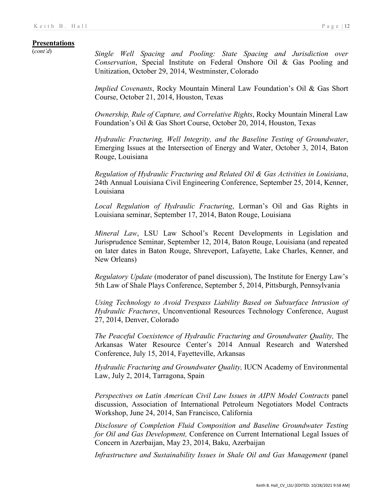(*cont'd*) *Single Well Spacing and Pooling: State Spacing and Jurisdiction over Conservation*, Special Institute on Federal Onshore Oil & Gas Pooling and Unitization, October 29, 2014, Westminster, Colorado

> *Implied Covenants*, Rocky Mountain Mineral Law Foundation's Oil & Gas Short Course, October 21, 2014, Houston, Texas

> *Ownership, Rule of Capture, and Correlative Rights*, Rocky Mountain Mineral Law Foundation's Oil & Gas Short Course, October 20, 2014, Houston, Texas

> *Hydraulic Fracturing, Well Integrity, and the Baseline Testing of Groundwater*, Emerging Issues at the Intersection of Energy and Water, October 3, 2014, Baton Rouge, Louisiana

> *Regulation of Hydraulic Fracturing and Related Oil & Gas Activities in Louisiana*, 24th Annual Louisiana Civil Engineering Conference, September 25, 2014, Kenner, Louisiana

> *Local Regulation of Hydraulic Fracturing*, Lorman's Oil and Gas Rights in Louisiana seminar, September 17, 2014, Baton Rouge, Louisiana

> *Mineral Law*, LSU Law School's Recent Developments in Legislation and Jurisprudence Seminar, September 12, 2014, Baton Rouge, Louisiana (and repeated on later dates in Baton Rouge, Shreveport, Lafayette, Lake Charles, Kenner, and New Orleans)

> *Regulatory Update* (moderator of panel discussion), The Institute for Energy Law's 5th Law of Shale Plays Conference, September 5, 2014, Pittsburgh, Pennsylvania

> *Using Technology to Avoid Trespass Liability Based on Subsurface Intrusion of Hydraulic Fractures*, Unconventional Resources Technology Conference, August 27, 2014, Denver, Colorado

> *The Peaceful Coexistence of Hydraulic Fracturing and Groundwater Quality,* The Arkansas Water Resource Center's 2014 Annual Research and Watershed Conference, July 15, 2014, Fayetteville, Arkansas

> *Hydraulic Fracturing and Groundwater Quality,* IUCN Academy of Environmental Law, July 2, 2014, Tarragona, Spain

> *Perspectives on Latin American Civil Law Issues in AIPN Model Contracts* panel discussion, Association of International Petroleum Negotiators Model Contracts Workshop, June 24, 2014, San Francisco, California

> *Disclosure of Completion Fluid Composition and Baseline Groundwater Testing for Oil and Gas Development,* Conference on Current International Legal Issues of Concern in Azerbaijan, May 23, 2014, Baku, Azerbaijan

> *Infrastructure and Sustainability Issues in Shale Oil and Gas Management* (panel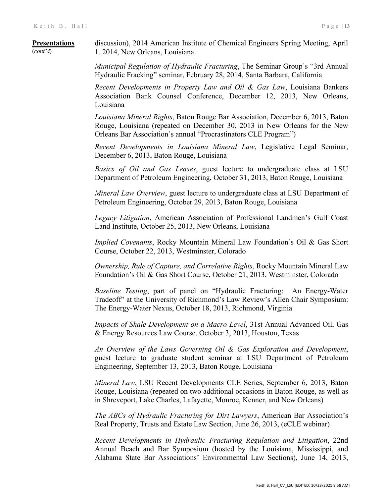#### **Presentations** (*cont'd*) discussion), 2014 American Institute of Chemical Engineers Spring Meeting, April 1, 2014, New Orleans, Louisiana

*Municipal Regulation of Hydraulic Fracturing*, The Seminar Group's "3rd Annual Hydraulic Fracking" seminar, February 28, 2014, Santa Barbara, California

*Recent Developments in Property Law and Oil & Gas Law*, Louisiana Bankers Association Bank Counsel Conference, December 12, 2013, New Orleans, Louisiana

*Louisiana Mineral Rights*, Baton Rouge Bar Association, December 6, 2013, Baton Rouge, Louisiana (repeated on December 30, 2013 in New Orleans for the New Orleans Bar Association's annual "Procrastinators CLE Program")

*Recent Developments in Louisiana Mineral Law*, Legislative Legal Seminar, December 6, 2013, Baton Rouge, Louisiana

*Basics of Oil and Gas Leases*, guest lecture to undergraduate class at LSU Department of Petroleum Engineering, October 31, 2013, Baton Rouge, Louisiana

*Mineral Law Overview*, guest lecture to undergraduate class at LSU Department of Petroleum Engineering, October 29, 2013, Baton Rouge, Louisiana

*Legacy Litigation*, American Association of Professional Landmen's Gulf Coast Land Institute, October 25, 2013, New Orleans, Louisiana

*Implied Covenants*, Rocky Mountain Mineral Law Foundation's Oil & Gas Short Course, October 22, 2013, Westminster, Colorado

*Ownership, Rule of Capture, and Correlative Rights*, Rocky Mountain Mineral Law Foundation's Oil & Gas Short Course, October 21, 2013, Westminster, Colorado

*Baseline Testing*, part of panel on "Hydraulic Fracturing: An Energy-Water Tradeoff" at the University of Richmond's Law Review's Allen Chair Symposium: The Energy-Water Nexus, October 18, 2013, Richmond, Virginia

*Impacts of Shale Development on a Macro Level*, 31st Annual Advanced Oil, Gas & Energy Resources Law Course, October 3, 2013, Houston, Texas

*An Overview of the Laws Governing Oil & Gas Exploration and Development*, guest lecture to graduate student seminar at LSU Department of Petroleum Engineering, September 13, 2013, Baton Rouge, Louisiana

*Mineral Law*, LSU Recent Developments CLE Series, September 6, 2013, Baton Rouge, Louisiana (repeated on two additional occasions in Baton Rouge, as well as in Shreveport, Lake Charles, Lafayette, Monroe, Kenner, and New Orleans)

*The ABCs of Hydraulic Fracturing for Dirt Lawyers*, American Bar Association's Real Property, Trusts and Estate Law Section, June 26, 2013, (eCLE webinar)

*Recent Developments in Hydraulic Fracturing Regulation and Litigation*, 22nd Annual Beach and Bar Symposium (hosted by the Louisiana, Mississippi, and Alabama State Bar Associations' Environmental Law Sections), June 14, 2013,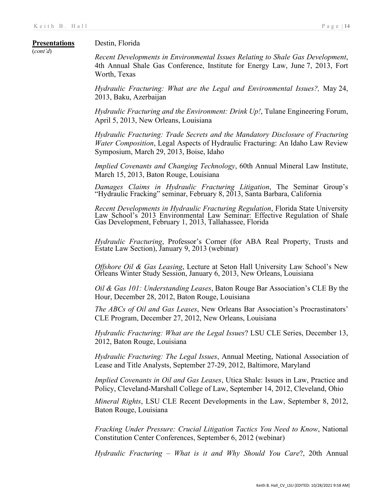# Destin, Florida

Worth, Texas

# **Presentations** (*cont'd*)

*Recent Developments in Environmental Issues Relating to Shale Gas Development*, 4th Annual Shale Gas Conference, Institute for Energy Law, June 7, 2013, Fort

*Hydraulic Fracturing: What are the Legal and Environmental Issues?,* May 24, 2013, Baku, Azerbaijan

*Hydraulic Fracturing and the Environment: Drink Up!*, Tulane Engineering Forum, April 5, 2013, New Orleans, Louisiana

*Hydraulic Fracturing: Trade Secrets and the Mandatory Disclosure of Fracturing Water Composition*, Legal Aspects of Hydraulic Fracturing: An Idaho Law Review Symposium, March 29, 2013, Boise, Idaho

*Implied Covenants and Changing Technology*, 60th Annual Mineral Law Institute, March 15, 2013, Baton Rouge, Louisiana

*Damages Claims in Hydraulic Fracturing Litigation*, The Seminar Group's "Hydraulic Fracking" seminar, February 8, 2013, Santa Barbara, California

*Recent Developments in Hydraulic Fracturing Regulation*, Florida State University Law School's 2013 Environmental Law Seminar: Effective Regulation of Shale Gas Development, February 1, 2013, Tallahassee, Florida

*Hydraulic Fracturing*, Professor's Corner (for ABA Real Property, Trusts and Estate Law Section), January 9, 2013 (webinar)

*Offshore Oil & Gas Leasing*, Lecture at Seton Hall University Law School's New Orleans Winter Study Session, January 6, 2013, New Orleans, Louisiana

*Oil & Gas 101: Understanding Leases*, Baton Rouge Bar Association's CLE By the Hour, December 28, 2012, Baton Rouge, Louisiana

*The ABCs of Oil and Gas Leases*, New Orleans Bar Association's Procrastinators' CLE Program, December 27, 2012, New Orleans, Louisiana

*Hydraulic Fracturing: What are the Legal Issues*? LSU CLE Series, December 13, 2012, Baton Rouge, Louisiana

*Hydraulic Fracturing: The Legal Issues*, Annual Meeting, National Association of Lease and Title Analysts, September 27-29, 2012, Baltimore, Maryland

*Implied Covenants in Oil and Gas Leases*, Utica Shale: Issues in Law, Practice and Policy, Cleveland-Marshall College of Law, September 14, 2012, Cleveland, Ohio

*Mineral Rights*, LSU CLE Recent Developments in the Law, September 8, 2012, Baton Rouge, Louisiana

*Fracking Under Pressure: Crucial Litigation Tactics You Need to Know*, National Constitution Center Conferences, September 6, 2012 (webinar)

*Hydraulic Fracturing – What is it and Why Should You Care*?, 20th Annual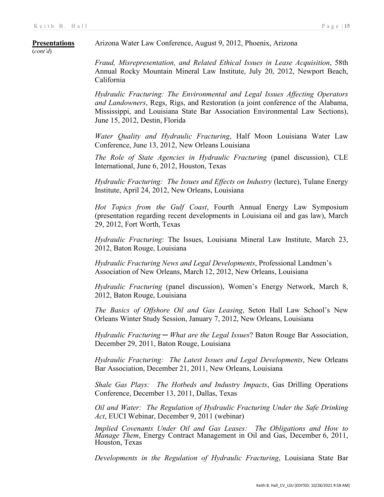(*cont'd*)

Arizona Water Law Conference, August 9, 2012, Phoenix, Arizona

*Fraud, Misrepresentation, and Related Ethical Issues in Lease Acquisition*, 58th Annual Rocky Mountain Mineral Law Institute, July 20, 2012, Newport Beach, California

*Hydraulic Fracturing: The Environmental and Legal Issues Affecting Operators and Landowners*, Regs, Rigs, and Restoration (a joint conference of the Alabama, Mississippi, and Louisiana State Bar Association Environmental Law Sections), June 15, 2012, Destin, Florida

*Water Quality and Hydraulic Fracturing*, Half Moon Louisiana Water Law Conference, June 13, 2012, New Orleans Louisiana

*The Role of State Agencies in Hydraulic Fracturing* (panel discussion), CLE International, June 6, 2012, Houston, Texas

*Hydraulic Fracturing: The Issues and Effects on Industry* (lecture), Tulane Energy Institute, April 24, 2012, New Orleans, Louisiana

*Hot Topics from the Gulf Coast*, Fourth Annual Energy Law Symposium (presentation regarding recent developments in Louisiana oil and gas law), March 29, 2012, Fort Worth, Texas

*Hydraulic Fracturing*: The Issues, Louisiana Mineral Law Institute, March 23, 2012, Baton Rouge, Louisiana

*Hydraulic Fracturing News and Legal Developments*, Professional Landmen's Association of New Orleans, March 12, 2012, New Orleans, Louisiana

*Hydraulic Fracturing* (panel discussion), Women's Energy Network, March 8, 2012, Baton Rouge, Louisiana

*The Basics of Offshore Oil and Gas Leasing*, Seton Hall Law School's New Orleans Winter Study Session, January 7, 2012, New Orleans, Louisiana

*Hydraulic Fracturing ─ What are the Legal Issues*? Baton Rouge Bar Association, December 29, 2011, Baton Rouge, Louisiana

*Hydraulic Fracturing: The Latest Issues and Legal Developments*, New Orleans Bar Association, December 21, 2011, New Orleans, Louisiana

*Shale Gas Plays: The Hotbeds and Industry Impacts*, Gas Drilling Operations Conference, December 13, 2011, Dallas, Texas

*Oil and Water: The Regulation of Hydraulic Fracturing Under the Safe Drinking Act*, EUCI Webinar, December 9, 2011 (webinar)

*Implied Covenants Under Oil and Gas Leases: The Obligations and How to Manage Them*, Energy Contract Management in Oil and Gas, December 6, 2011, Houston, Texas

*Developments in the Regulation of Hydraulic Fracturing*, Louisiana State Bar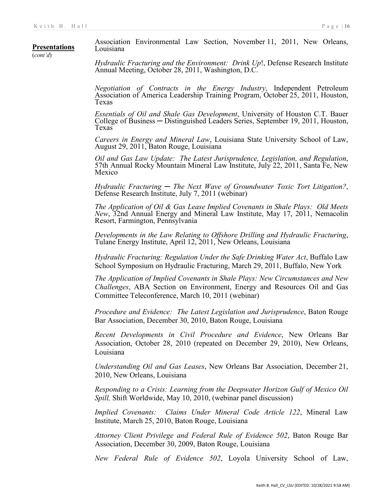#### **Presentations** Association Environmental Law Section, November 11, 2011, New Orleans, Louisiana

(*cont'd*)

*Hydraulic Fracturing and the Environment: Drink Up*!, Defense Research Institute Annual Meeting, October 28, 2011, Washington, D.C.

*Negotiation of Contracts in the Energy Industry*, Independent Petroleum Association of America Leadership Training Program, October 25, 2011, Houston, Texas

*Essentials of Oil and Shale Gas Development*, University of Houston C.T. Bauer College of Business ─ Distinguished Leaders Series, September 19, 2011, Houston, Texas

*Careers in Energy and Mineral Law*, Louisiana State University School of Law, August 29, 2011, Baton Rouge, Louisiana

*Oil and Gas Law Update: The Latest Jurisprudence, Legislation, and Regulation*, 57th Annual Rocky Mountain Mineral Law Institute, July 22, 2011, Santa Fe, New Mexico

*Hydraulic Fracturing ─ The Next Wave of Groundwater Toxic Tort Litigation?*, Defense Research Institute, July 7, <sup>2011</sup> (webinar)

*The Application of Oil & Gas Lease Implied Covenants in Shale Plays: Old Meets New*, 32nd Annual Energy and Mineral Law Institute, May 17, 2011, Nemacolin Resort, Farmington, Pennsylvania

*Developments in the Law Relating to Offshore Drilling and Hydraulic Fracturing*, Tulane Energy Institute, April 12, 2011, New Orleans, Louisiana

*Hydraulic Fracturing: Regulation Under the Safe Drinking Water Act*, Buffalo Law School Symposium on Hydraulic Fracturing, March 29, 2011, Buffalo, New York

*The Application of Implied Covenants in Shale Plays: New Circumstances and New Challenges*, ABA Section on Environment, Energy and Resources Oil and Gas Committee Teleconference, March 10, 2011 (webinar)

*Procedure and Evidence: The Latest Legislation and Jurisprudence*, Baton Rouge Bar Association, December 30, 2010, Baton Rouge, Louisiana

*Recent Developments in Civil Procedure and Evidence*, New Orleans Bar Association, October 28, 2010 (repeated on December 29, 2010), New Orleans, Louisiana

*Understanding Oil and Gas Leases*, New Orleans Bar Association, December 21, 2010, New Orleans, Louisiana

*Responding to a Crisis: Learning from the Deepwater Horizon Gulf of Mexico Oil Spill,* Shift Worldwide, May 10, 2010, (webinar panel discussion)

*Implied Covenants: Claims Under Mineral Code Article 122*, Mineral Law Institute, March 25, 2010, Baton Rouge, Louisiana

*Attorney Client Privilege and Federal Rule of Evidence 502*, Baton Rouge Bar Association, December 30, 2009, Baton Rouge, Louisiana

*New Federal Rule of Evidence 502*, Loyola University School of Law,